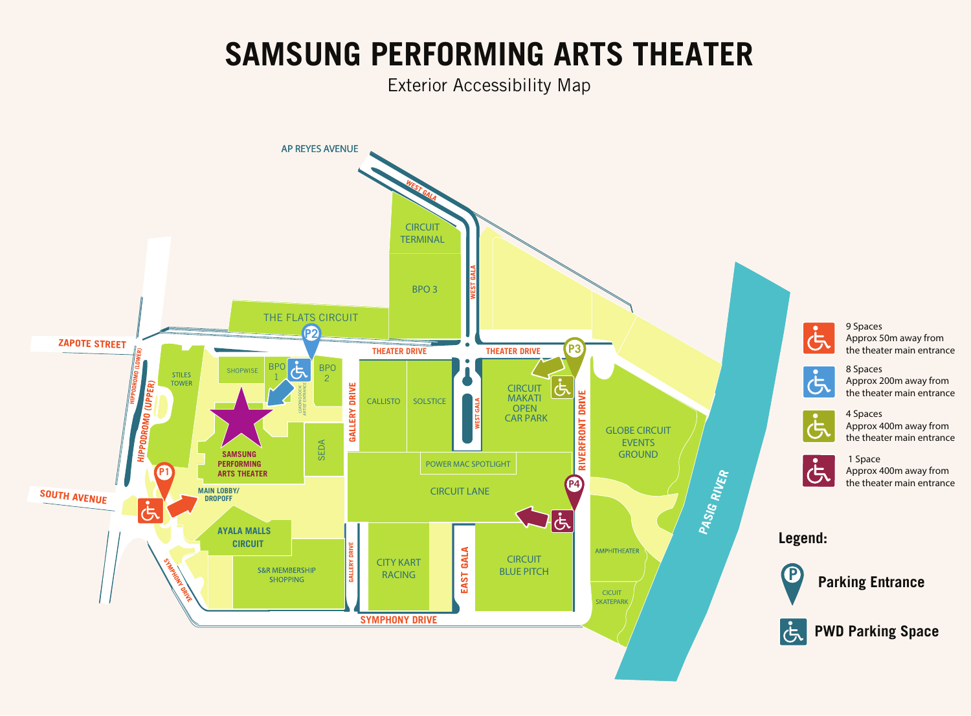

## **Legend:**



**PWD Parking Space**

 1 Space Approx 400m away from the theater main entrance

8 Spaces Approx 200m away from the theater main entrance





9 Spaces Approx 50m away from the theater main entrance



4 Spaces Approx 400m away from the theater main entrance



**Parking Entrance P**

## **SAMSUNG PERFORMING ARTS THEATER**

Exterior Accessibility Map